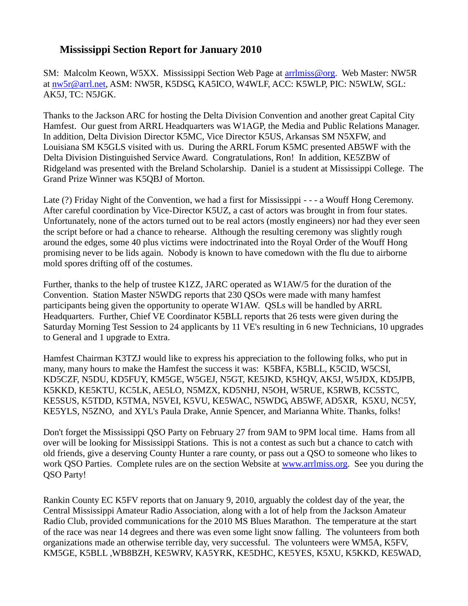## **Mississippi Section Report for January 2010**

SM: Malcolm Keown, W5XX. Mississippi Section Web Page at [arrlmiss@org.](mailto:arrlmiss@org) Web Master: NW5R at [nw5r@arrl.net,](mailto:nw5r@arrl.net) ASM: NW5R, K5DSG, KA5ICO, W4WLF, ACC: K5WLP, PIC: N5WLW, SGL: AK5J, TC: N5JGK.

Thanks to the Jackson ARC for hosting the Delta Division Convention and another great Capital City Hamfest. Our guest from ARRL Headquarters was W1AGP, the Media and Public Relations Manager. In addition, Delta Division Director K5MC, Vice Director K5US, Arkansas SM N5XFW, and Louisiana SM K5GLS visited with us. During the ARRL Forum K5MC presented AB5WF with the Delta Division Distinguished Service Award. Congratulations, Ron! In addition, KE5ZBW of Ridgeland was presented with the Breland Scholarship. Daniel is a student at Mississippi College. The Grand Prize Winner was K5QBJ of Morton.

Late (?) Friday Night of the Convention, we had a first for Mississippi - - - a Wouff Hong Ceremony. After careful coordination by Vice-Director K5UZ, a cast of actors was brought in from four states. Unfortunately, none of the actors turned out to be real actors (mostly engineers) nor had they ever seen the script before or had a chance to rehearse. Although the resulting ceremony was slightly rough around the edges, some 40 plus victims were indoctrinated into the Royal Order of the Wouff Hong promising never to be lids again. Nobody is known to have comedown with the flu due to airborne mold spores drifting off of the costumes.

Further, thanks to the help of trustee K1ZZ, JARC operated as W1AW/5 for the duration of the Convention. Station Master N5WDG reports that 230 QSOs were made with many hamfest participants being given the opportunity to operate W1AW. QSLs will be handled by ARRL Headquarters. Further, Chief VE Coordinator K5BLL reports that 26 tests were given during the Saturday Morning Test Session to 24 applicants by 11 VE's resulting in 6 new Technicians, 10 upgrades to General and 1 upgrade to Extra.

Hamfest Chairman K3TZJ would like to express his appreciation to the following folks, who put in many, many hours to make the Hamfest the success it was: K5BFA, K5BLL, K5CID, W5CSI, KD5CZF, N5DU, KD5FUY, KM5GE, W5GEJ, N5GT, KE5JKD, K5HQV, AK5J, W5JDX, KD5JPB, K5KKD, KE5KTU, KC5LK, AE5LO, N5MZX, KD5NHJ, N5OH, W5RUE, K5RWB, KC5STC, KE5SUS, K5TDD, K5TMA, N5VEI, K5VU, KE5WAC, N5WDG, AB5WF, AD5XR, K5XU, NC5Y, KE5YLS, N5ZNO, and XYL's Paula Drake, Annie Spencer, and Marianna White. Thanks, folks!

Don't forget the Mississippi QSO Party on February 27 from 9AM to 9PM local time. Hams from all over will be looking for Mississippi Stations. This is not a contest as such but a chance to catch with old friends, give a deserving County Hunter a rare county, or pass out a QSO to someone who likes to work QSO Parties. Complete rules are on the section Website at [www.arrlmiss.org.](http://www.arrlmiss.org/) See you during the QSO Party!

Rankin County EC K5FV reports that on January 9, 2010, arguably the coldest day of the year, the Central Mississippi Amateur Radio Association, along with a lot of help from the Jackson Amateur Radio Club, provided communications for the 2010 MS Blues Marathon. The temperature at the start of the race was near 14 degrees and there was even some light snow falling. The volunteers from both organizations made an otherwise terrible day, very successful. The volunteers were WM5A, K5FV, KM5GE, K5BLL ,WB8BZH, KE5WRV, KA5YRK, KE5DHC, KE5YES, K5XU, K5KKD, KE5WAD,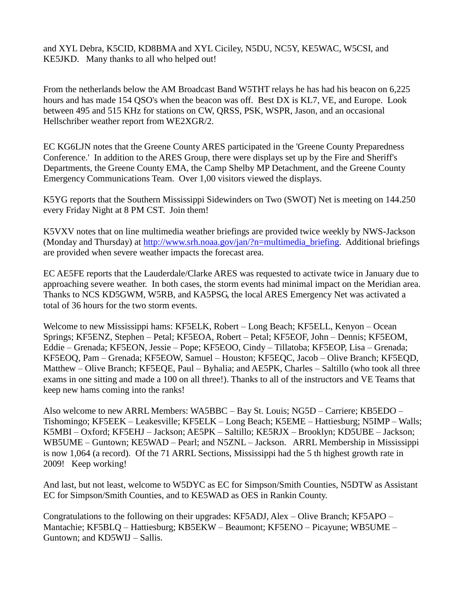and XYL Debra, K5CID, KD8BMA and XYL Ciciley, N5DU, NC5Y, KE5WAC, W5CSI, and KE5JKD. Many thanks to all who helped out!

From the netherlands below the AM Broadcast Band W5THT relays he has had his beacon on 6,225 hours and has made 154 QSO's when the beacon was off. Best DX is KL7, VE, and Europe. Look between 495 and 515 KHz for stations on CW, QRSS, PSK, WSPR, Jason, and an occasional Hellschriber weather report from WE2XGR/2.

EC KG6LJN notes that the Greene County ARES participated in the 'Greene County Preparedness Conference.' In addition to the ARES Group, there were displays set up by the Fire and Sheriff's Departments, the Greene County EMA, the Camp Shelby MP Detachment, and the Greene County Emergency Communications Team. Over 1,00 visitors viewed the displays.

K5YG reports that the Southern Mississippi Sidewinders on Two (SWOT) Net is meeting on 144.250 every Friday Night at 8 PM CST. Join them!

K5VXV notes that on line multimedia weather briefings are provided twice weekly by NWS-Jackson (Monday and Thursday) at [http://www.srh.noaa.gov/jan/?n=multimedia\\_briefing.](http://www.srh.noaa.gov/jan/?n=multimedia_briefing) Additional briefings are provided when severe weather impacts the forecast area.

EC AE5FE reports that the Lauderdale/Clarke ARES was requested to activate twice in January due to approaching severe weather. In both cases, the storm events had minimal impact on the Meridian area. Thanks to NCS KD5GWM, W5RB, and KA5PSG, the local ARES Emergency Net was activated a total of 36 hours for the two storm events.

Welcome to new Mississippi hams: KF5ELK, Robert – Long Beach; KF5ELL, Kenyon – Ocean Springs; KF5ENZ, Stephen – Petal; KF5EOA, Robert – Petal; KF5EOF, John – Dennis; KF5EOM, Eddie – Grenada; KF5EON, Jessie – Pope; KF5EOO, Cindy – Tillatoba; KF5EOP, Lisa – Grenada; KF5EOQ, Pam – Grenada; KF5EOW, Samuel – Houston; KF5EQC, Jacob – Olive Branch; KF5EQD, Matthew – Olive Branch; KF5EQE, Paul – Byhalia; and AE5PK, Charles – Saltillo (who took all three exams in one sitting and made a 100 on all three!). Thanks to all of the instructors and VE Teams that keep new hams coming into the ranks!

Also welcome to new ARRL Members: WA5BBC – Bay St. Louis; NG5D – Carriere; KB5EDO – Tishomingo; KF5EEK – Leakesville; KF5ELK – Long Beach; K5EME – Hattiesburg; N5IMP – Walls; K5MBI – Oxford; KF5EHJ – Jackson; AE5PK – Saltillo; KE5RJX – Brooklyn; KD5UBE – Jackson; WB5UME – Guntown; KE5WAD – Pearl; and N5ZNL – Jackson. ARRL Membership in Mississippi is now 1,064 (a record). Of the 71 ARRL Sections, Mississippi had the 5 th highest growth rate in 2009! Keep working!

And last, but not least, welcome to W5DYC as EC for Simpson/Smith Counties, N5DTW as Assistant EC for Simpson/Smith Counties, and to KE5WAD as OES in Rankin County.

Congratulations to the following on their upgrades: KF5ADJ, Alex – Olive Branch; KF5APO – Mantachie; KF5BLQ – Hattiesburg; KB5EKW – Beaumont; KF5ENO – Picayune; WB5UME – Guntown; and KD5WIJ – Sallis.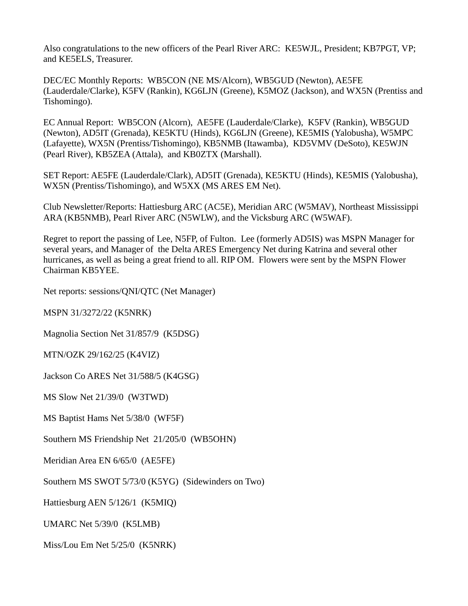Also congratulations to the new officers of the Pearl River ARC: KE5WJL, President; KB7PGT, VP; and KE5ELS, Treasurer.

DEC/EC Monthly Reports: WB5CON (NE MS/Alcorn), WB5GUD (Newton), AE5FE (Lauderdale/Clarke), K5FV (Rankin), KG6LJN (Greene), K5MOZ (Jackson), and WX5N (Prentiss and Tishomingo).

EC Annual Report: WB5CON (Alcorn), AE5FE (Lauderdale/Clarke), K5FV (Rankin), WB5GUD (Newton), AD5IT (Grenada), KE5KTU (Hinds), KG6LJN (Greene), KE5MIS (Yalobusha), W5MPC (Lafayette), WX5N (Prentiss/Tishomingo), KB5NMB (Itawamba), KD5VMV (DeSoto), KE5WJN (Pearl River), KB5ZEA (Attala), and KB0ZTX (Marshall).

SET Report: AE5FE (Lauderdale/Clark), AD5IT (Grenada), KE5KTU (Hinds), KE5MIS (Yalobusha), WX5N (Prentiss/Tishomingo), and W5XX (MS ARES EM Net).

Club Newsletter/Reports: Hattiesburg ARC (AC5E), Meridian ARC (W5MAV), Northeast Mississippi ARA (KB5NMB), Pearl River ARC (N5WLW), and the Vicksburg ARC (W5WAF).

Regret to report the passing of Lee, N5FP, of Fulton. Lee (formerly AD5IS) was MSPN Manager for several years, and Manager of the Delta ARES Emergency Net during Katrina and several other hurricanes, as well as being a great friend to all. RIP OM. Flowers were sent by the MSPN Flower Chairman KB5YEE.

Net reports: sessions/QNI/QTC (Net Manager)

MSPN 31/3272/22 (K5NRK)

Magnolia Section Net 31/857/9 (K5DSG)

MTN/OZK 29/162/25 (K4VIZ)

Jackson Co ARES Net 31/588/5 (K4GSG)

MS Slow Net 21/39/0 (W3TWD)

MS Baptist Hams Net 5/38/0 (WF5F)

Southern MS Friendship Net 21/205/0 (WB5OHN)

Meridian Area EN 6/65/0 (AE5FE)

Southern MS SWOT 5/73/0 (K5YG) (Sidewinders on Two)

Hattiesburg AEN 5/126/1 (K5MIQ)

UMARC Net 5/39/0 (K5LMB)

Miss/Lou Em Net 5/25/0 (K5NRK)